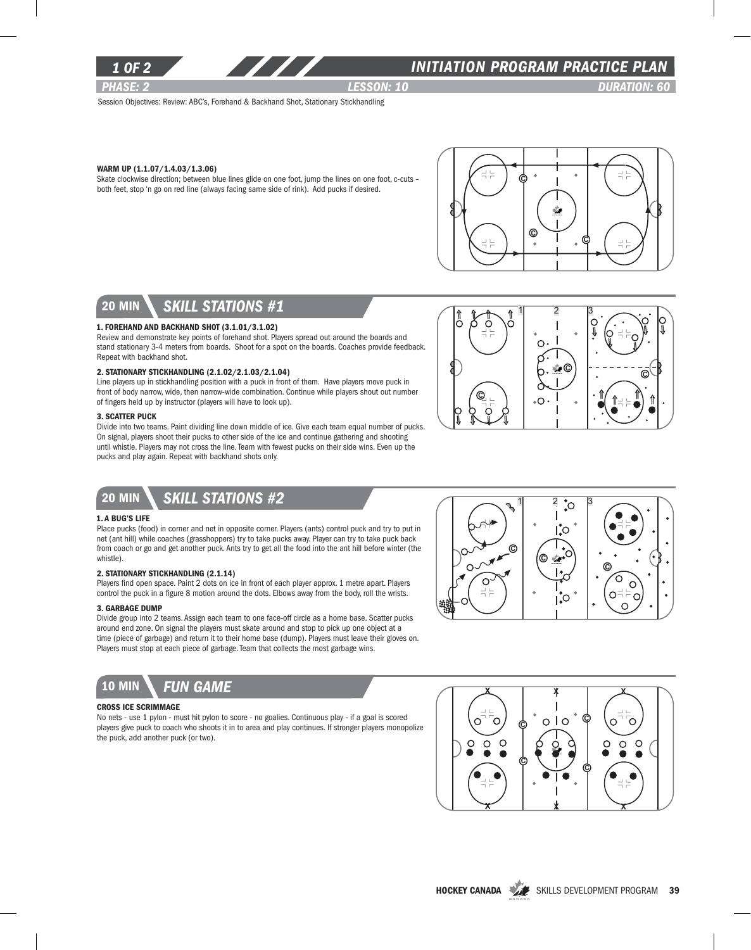

### *1 of 2 INITIATION program PRACTICE PLAN*

*PHASE: 2 Lesson: 10 DURATION: 60* 

C

Session Objectives: Review: ABC's, Forehand & Backhand Shot, Stationary Stickhandling

#### Warm Up (1.1.07/1.4.03/1.3.06)

Skate clockwise direction; between blue lines glide on one foot, jump the lines on one foot, c-cuts – both feet, stop 'n go on red line (always facing same side of rink). Add pucks if desired.



 $1 \quad 2 \quad 3$ 

∩

 $\circ$  .

C

္ပု

### 20 min *skill stations #1*

#### 1. Forehand and Backhand Shot (3.1.01/3.1.02)

Review and demonstrate key points of forehand shot. Players spread out around the boards and stand stationary 3-4 meters from boards. Shoot for a spot on the boards. Coaches provide feedback. Repeat with backhand shot.

#### 2. Stationary Stickhandling (2.1.02/2.1.03/2.1.04)

Line players up in stickhandling position with a puck in front of them. Have players move puck in front of body narrow, wide, then narrow-wide combination. Continue while players shout out number of fingers held up by instructor (players will have to look up).

#### **3. SCATTER PUCK**

Divide into two teams. Paint dividing line down middle of ice. Give each team equal number of pucks. On signal, players shoot their pucks to other side of the ice and continue gathering and shooting until whistle. Players may not cross the line. Team with fewest pucks on their side wins. Even up the pucks and play again. Repeat with backhand shots only.

# 20 min *skill stations #2*

#### 1. A Bug's Life

Place pucks (food) in corner and net in opposite corner. Players (ants) control puck and try to put in net (ant hill) while coaches (grasshoppers) try to take pucks away. Player can try to take puck back from coach or go and get another puck. Ants try to get all the food into the ant hill before winter (the whistle).

#### 2. Stationary Stickhandling (2.1.14)

Players find open space. Paint 2 dots on ice in front of each player approx. 1 metre apart. Players control the puck in a figure 8 motion around the dots. Elbows away from the body, roll the wrists.

#### 3. Garbage Dump

Divide group into 2 teams. Assign each team to one face-off circle as a home base. Scatter pucks around end zone. On signal the players must skate around and stop to pick up one object at a time (piece of garbage) and return it to their home base (dump). Players must leave their gloves on. Players must stop at each piece of garbage. Team that collects the most garbage wins.



#### Cross Ice Scrimmage

No nets - use 1 pylon - must hit pylon to score - no goalies. Continuous play - if a goal is scored players give puck to coach who shoots it in to area and play continues. If stronger players monopolize the puck, add another puck (or two).



©